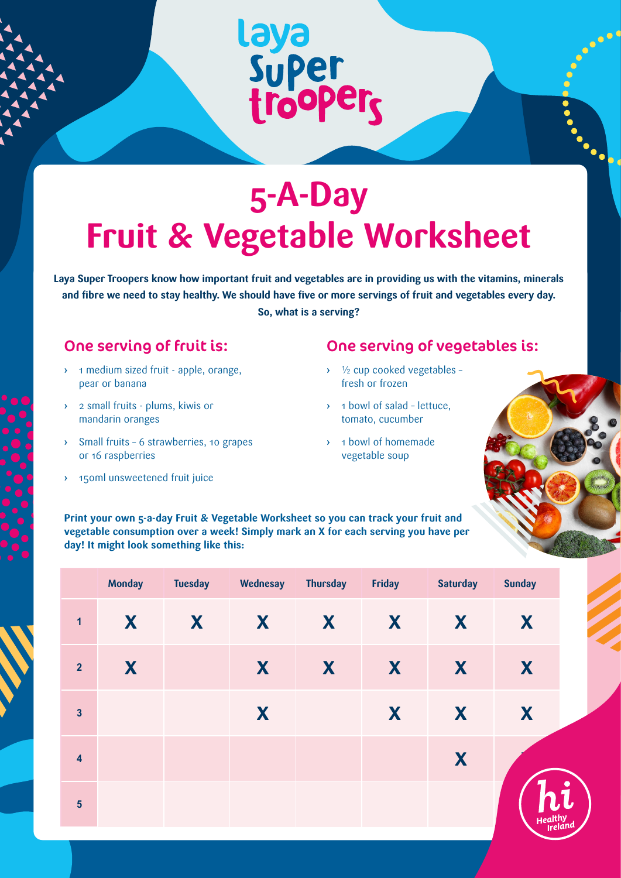## Laya<br>Super<br>trooper<sub>s</sub>

## **5-A-Day Fruit & Vegetable Worksheet**

**Laya Super Troopers know how important fruit and vegetables are in providing us with the vitamins, minerals and fibre we need to stay healthy. We should have five or more servings of fruit and vegetables every day. So, what is a serving?**

## One serving of fruit is:

- **›** 1 medium sized fruit apple, orange, pear or banana
- **›** 2 small fruits plums, kiwis or mandarin oranges
- **›** Small fruits 6 strawberries, 10 grapes or 16 raspberries
- **›** 150ml unsweetened fruit juice

## One serving of vegetables is:

- **›** ½ cup cooked vegetables fresh or frozen
- **›** 1 bowl of salad lettuce, tomato, cucumber
- **›** 1 bowl of homemade vegetable soup



**Print your own 5-a-day Fruit & Vegetable Worksheet so you can track your fruit and vegetable consumption over a week! Simply mark an X for each serving you have per day! It might look something like this:**

|                         | <b>Monday</b> | <b>Tuesday</b> | Wednesay | <b>Thursday</b> | Friday | <b>Saturday</b> | <b>Sunday</b>      |    |
|-------------------------|---------------|----------------|----------|-----------------|--------|-----------------|--------------------|----|
| $\overline{\mathbf{1}}$ | X             | X              | X        | X               | X      | X               | X                  | ×, |
| $\overline{2}$          | X             |                | X        | X               | X      | X               | X                  |    |
| $\overline{3}$          |               |                | X        |                 | X      | X               | X                  |    |
| $\overline{4}$          |               |                |          |                 |        | X               |                    |    |
| $5\phantom{a}$          |               |                |          |                 |        |                 | Healthy<br>Ireland |    |